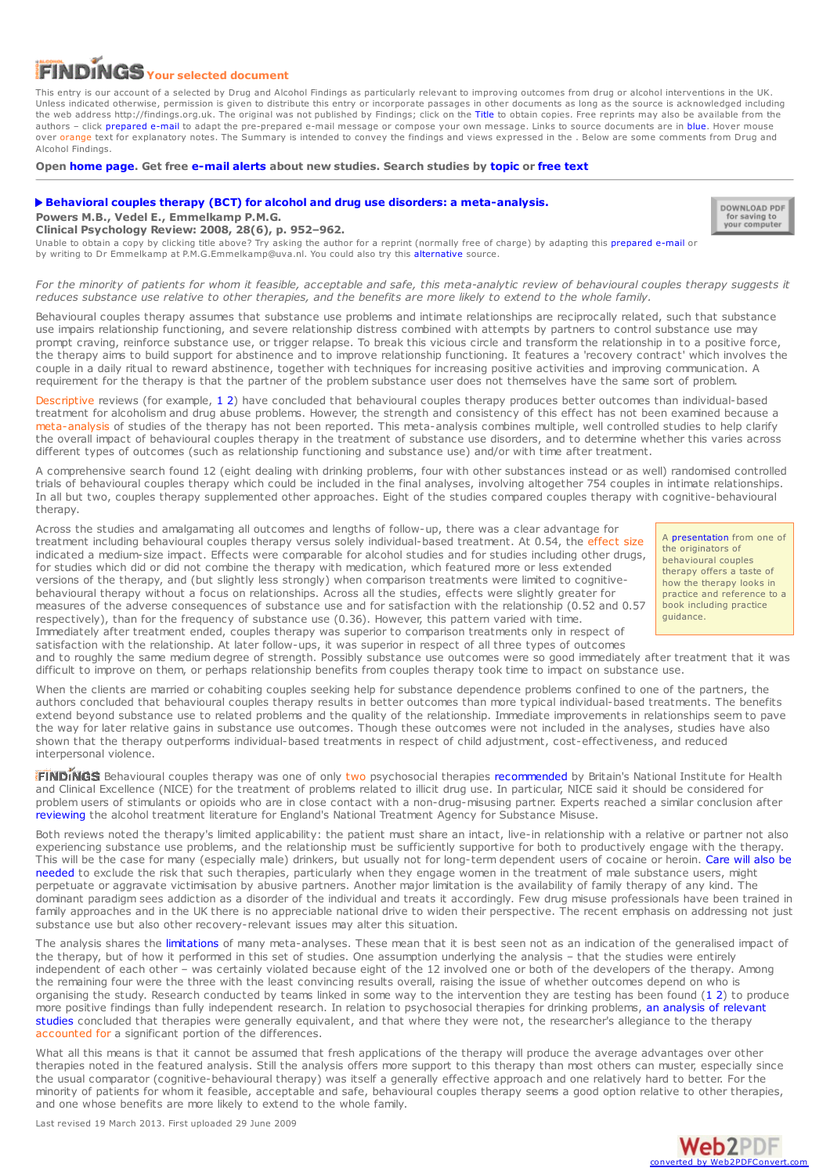## **Your selected document**

This entry is our account of a selected by Drug and Alcohol Findings as particularly relevant to improving outcomes from drug or alcohol interventions in the UK. Unless indicated otherwise, permission is given to distribute this entry or incorporate passages in other documents as long as the source is acknowledged including the web address http://findings.org.uk. The original was not published by Findings; click on the Title to obtain copies. Free reprints may also be available from the authors – click prepared e-mail to adapt the pre-prepared e-mail message or compose your own message. Links to source documents are in blue. Hover mouse over orange text for explanatory notes. The Summary is intended to convey the findings and views expressed in the . Below are some comments from Drug and Alcohol Findings.

**Open [home](https://findings.org.uk/index.php) page. Get free [e-mail](https://findings.org.uk/index.php#signUp) alerts about new studies. Search studies by [topic](https://findings.org.uk/topic_search.htm) or [free](https://findings.org.uk/free_search.htm) text**

## **Behavioral couples therapy (BCT) for alcohol and drug use disorders: a [meta-analysis.](http://dx.doi.org/10.1016/j.cpr.2008.02.002)**

**Powers M.B., Vedel E., Emmelkamp P.M.G.**

DOWNLOAD PDF for saving to<br>your computer

**Clinical Psychology Review: 2008, 28(6), p. 952–962.**

Unable to obtain a copy by clicking title above? Try asking the author for a reprint (normally free of charge) by adapting this [prepared](mailto:P.M.G.Emmelkamp@uva.nl?Subject=Reprint request&body=Dear Dr Emmelkamp%0A%0AOn the Drug and Alcohol Findings web site (https://findings.org.uk) I read about your article:%0APowers M.B., Vedel E., Emmelkamp P.M.G. Behavioral couples therapy (BCT) for alcohol and drug use disorders: a meta-analysis. Clinical Psychology Review: 2008, 28(6), p. 952-962.%0A%0AWould it be possible to for me to be sent a PDF reprint or the manuscript by replying to this e-mail?%0A) e-mail or by writing to Dr Emmelkamp at P.M.G.Emmelkamp@uva.nl. You could also try this [alternative](http://www.ncbi.nlm.nih.gov/pubmed/18374464) source.

For the minority of patients for whom it feasible, acceptable and safe, this meta-analytic review of behavioural couples therapy suggests it reduces substance use relative to other therapies, and the benefits are more likely to extend to the whole family.

Behavioural couples therapy assumes that substance use problems and intimate relationships are reciprocally related, such that substance use impairs relationship functioning, and severe relationship distress combined with attempts by partners to control substance use may prompt craving, reinforce substance use, or trigger relapse. To break this vicious circle and transform the relationship in to a positive force, the therapy aims to build support for abstinence and to improve relationship functioning. It features a 'recovery contract' which involves the couple in a daily ritual to reward abstinence, together with techniques for increasing positive activities and improving communication. A requirement for the therapy is that the partner of the problem substance user does not themselves have the same sort of problem.

Descriptive reviews (for example, [1](http://dx.doi.org/10.1016/S0272-7358(98)00025-7)[2](http://dx.doi.org/10.1111/j.1752-0606.2003.tb00387.x)) have concluded that behavioural couples therapy produces better outcomes than individual-based treatment for alcoholism and drug abuse problems. However, the strength and consistency of this effect has not been examined because a meta-analysis of studies of the therapy has not been reported. This meta-analysis combines multiple, well controlled studies to help clarify the overall impact of behavioural couples therapy in the treatment of substance use disorders, and to determine whether this varies across different types of outcomes (such as relationship functioning and substance use) and/or with time after treatment.

A comprehensive search found 12 (eight dealing with drinking problems, four with other substances instead or as well) randomised controlled trials of behavioural couples therapy which could be included in the final analyses, involving altogether 754 couples in intimate relationships. In all but two, couples therapy supplemented other approaches. Eight of the studies compared couples therapy with cognitive-behavioural therapy.

Across the studies and amalgamating all outcomes and lengths of follow-up, there was a clear advantage for treatment including behavioural couples therapy versus solely individual-based treatment. At 0.54, the effect size indicated a medium-size impact. Effects were comparable for alcohol studies and for studies including other drugs, for studies which did or did not combine the therapy with medication, which featured more or less extended versions of the therapy, and (but slightly less strongly) when comparison treatments were limited to cognitivebehavioural therapy without <sup>a</sup> focus on relationships. Across all the studies, effects were slightly greater for measures of the adverse consequences of substance use and for satisfaction with the relationship (0.52 and 0.57 respectively), than for the frequency of substance use (0.36). However, this pattern varied with time. Immediately after treatment ended, couples therapy was superior to comparison treatments only in respect of

A [presentation](http://uwf.edu/cap/DeploymentMentalHealth/materials/Dr. Timothy O) from one of the originators of behavioural couples therapy offers a taste of how the therapy looks in practice and reference to a book including practice guidance.

satisfaction with the relationship. At later follow-ups, it was superior in respect of all three types of outcomes and to roughly the same medium degree of strength. Possibly substance use outcomes were so good immediately after treatment that it was difficult to improve on them, or perhaps relationship benefits from couples therapy took time to impact on substance use.

When the clients are married or cohabiting couples seeking help for substance dependence problems confined to one of the partners, the authors concluded that behavioural couples therapy results in better outcomes than more typical individual-based treatments. The benefits extend beyond substance use to related problems and the quality of the relationship. Immediate improvements in relationships seem to pave the way for later relative gains in substance use outcomes. Though these outcomes were not included in the analyses, studies have also shown that the therapy outperforms individual-based treatments in respect of child adjustment, cost-effectiveness, and reduced interpersonal violence.

Behavioural couples therapy was one of only two psychosocial therapies [recommended](http://www.nice.org.uk/CG51) by Britain's National Institute for Health and Clinical Excellence (NICE) for the treatment of problems related to illicit drug use. In particular, NICE said it should be considered for problem users of stimulants or opioids who are in close contact with a non-drug-misusing partner. Experts reached a similar conclusion after [reviewing](http://www.nta.nhs.uk/publications/publications.aspx?CategoryID=6) the alcohol treatment literature for England's National Treatment Agency for Substance Misuse.

Both reviews noted the therapy's limited applicability: the patient must share an intact, live-in relationship with a relative or partner not also experiencing substance use problems, and the relationship must be sufficiently supportive for both to productively engage with the therapy. This will be the case for many [\(especially](http://www.informaworld.com/smpp/content~db=all~content=a771043738) male) drinkers, but usually not for long-term dependent users of cocaine or heroin. Care will also be needed to exclude the risk that such therapies, particularly when they engage women in the treatment of male substance users, might perpetuate or aggravate victimisation by abusive partners. Another major limitation is the availability of family therapy of any kind. The dominant paradigm sees addiction as a disorder of the individual and treats it accordingly. Few drug misuse professionals have been trained in family approaches and in the UK there is no appreciable national drive to widen their perspective. The recent emphasis on addressing not just substance use but also other recovery-relevant issues may alter this situation.

The analysis shares the [limitations](http://dx.doi.org/10.1007/s11292-007-9036-y) of many meta-analyses. These mean that it is best seen not as an indication of the generalised impact of the therapy, but of how it performed in this set of studies. One assumption underlying the analysis – that the studies were entirely independent of each other – was certainly violated because eight of the 12 involved one or both of the developers of the therapy. Among the remaining four were the three with the least convincing results overall, raising the issue of whether outcomes depend on who is organising the study. Research conducted by teams linked in some way to the intervention they are testing has been found ([1](http://dx.doi.org/10.1007/s11292-009-9071-y) [2](http://dx.doi.org/10.1177/0193841X06287188)) to produce more positive findings than fully independent research. In relation to [psychosocial](https://findings.org.uk/count/downloads/download.php?file=Imel_ZE_1.txt) therapies for drinking problems, an analysis of relevant studies concluded that therapies were generally equivalent, and that where they were not, the researcher's allegiance to the therapy accounted for a significant portion of the differences.

What all this means is that it cannot be assumed that fresh applications of the therapy will produce the average advantages over other therapies noted in the featured analysis. Still the analysis offers more support to this therapy than most others can muster, especially since the usual comparator (cognitive-behavioural therapy) was itself a generally effective approach and one relatively hard to better. For the minority of patients for whom it feasible, acceptable and safe, behavioural couples therapy seems a good option relative to other therapies, and one whose benefits are more likely to extend to the whole family.

Last revised 19 March 2013. First uploaded 29 June 2009